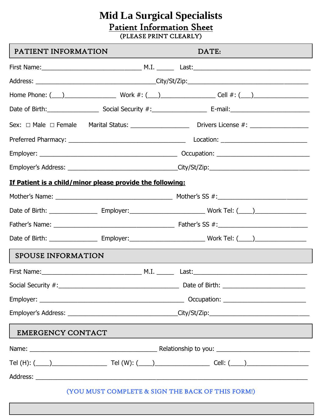# **Mid La Surgical Specialists** Patient Information Sheet (PLEASE PRINT CLEARLY)

| PATIENT INFORMATION       |                                                                                                      | DATE:                                                                                                                                                                                                                                                                                       |  |  |
|---------------------------|------------------------------------------------------------------------------------------------------|---------------------------------------------------------------------------------------------------------------------------------------------------------------------------------------------------------------------------------------------------------------------------------------------|--|--|
|                           |                                                                                                      |                                                                                                                                                                                                                                                                                             |  |  |
|                           |                                                                                                      |                                                                                                                                                                                                                                                                                             |  |  |
|                           |                                                                                                      |                                                                                                                                                                                                                                                                                             |  |  |
|                           |                                                                                                      |                                                                                                                                                                                                                                                                                             |  |  |
|                           |                                                                                                      |                                                                                                                                                                                                                                                                                             |  |  |
|                           |                                                                                                      |                                                                                                                                                                                                                                                                                             |  |  |
|                           |                                                                                                      |                                                                                                                                                                                                                                                                                             |  |  |
|                           | Employer's Address: _________________________________City/St/Zip:___________________________________ |                                                                                                                                                                                                                                                                                             |  |  |
|                           | If Patient is a child/minor please provide the following:                                            |                                                                                                                                                                                                                                                                                             |  |  |
|                           |                                                                                                      |                                                                                                                                                                                                                                                                                             |  |  |
|                           |                                                                                                      |                                                                                                                                                                                                                                                                                             |  |  |
|                           |                                                                                                      |                                                                                                                                                                                                                                                                                             |  |  |
|                           |                                                                                                      |                                                                                                                                                                                                                                                                                             |  |  |
| <b>SPOUSE INFORMATION</b> |                                                                                                      |                                                                                                                                                                                                                                                                                             |  |  |
|                           |                                                                                                      |                                                                                                                                                                                                                                                                                             |  |  |
|                           |                                                                                                      |                                                                                                                                                                                                                                                                                             |  |  |
|                           |                                                                                                      |                                                                                                                                                                                                                                                                                             |  |  |
|                           |                                                                                                      | Employer's Address: __________________________________City/St/Zip:_________________________________                                                                                                                                                                                         |  |  |
| <b>EMERGENCY CONTACT</b>  |                                                                                                      | <u> 1989 - An Dùbhlachd an Dùbhlachd ann an Dùbhlachd ann an Dùbhlachd ann an Dùbhlachd ann an Dùbhlachd ann an Dù</u>                                                                                                                                                                      |  |  |
|                           |                                                                                                      |                                                                                                                                                                                                                                                                                             |  |  |
|                           |                                                                                                      |                                                                                                                                                                                                                                                                                             |  |  |
|                           |                                                                                                      |                                                                                                                                                                                                                                                                                             |  |  |
|                           |                                                                                                      | $\langle x \rangle$ ( $\langle x \rangle$ ) $\langle x \rangle$ ( $\langle x \rangle$ ) $\langle x \rangle$ ( $\langle x \rangle$ ) $\langle x \rangle$ ( $\langle x \rangle$ ) $\langle x \rangle$ ( $\langle x \rangle$ ) $\langle x \rangle$ ( $\langle x \rangle$ ) $\langle x \rangle$ |  |  |

(YOU MUST COMPLETE & SIGN THE BACK OF THIS FORM!)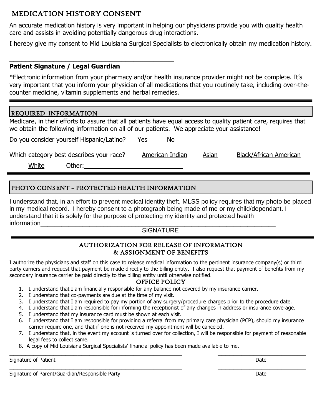# MEDICATION HISTORY CONSENT

An accurate medication history is very important in helping our physicians provide you with quality health care and assists in avoiding potentially dangerous drug interactions.

I hereby give my consent to Mid Louisiana Surgical Specialists to electronically obtain my medication history.

# **Patient Signature / Legal Guardian**

\*Electronic information from your pharmacy and/or health insurance provider might not be complete. It's very important that you inform your physician of all medications that you routinely take, including over-thecounter medicine, vitamin supplements and herbal remedies.

# REQUIRED INFORMATION

Medicare, in their efforts to assure that all patients have equal access to quality patient care, requires that we obtain the following information on all of our patients. We appreciate your assistance!

Do you consider yourself Hispanic/Latino? Yes No

**\_\_\_\_\_\_\_\_\_\_\_\_\_\_\_\_\_\_\_\_\_\_\_\_\_\_\_\_\_\_\_\_\_\_\_\_\_\_\_\_\_**

Which category best describes your race? American Indian Asian Black/African American

White Other:

L

# PHOTO CONSENT – PROTECTED HEALTH INFORMATION

I understand that, in an effort to prevent medical identity theft, MLSS policy requires that my photo be placed in my medical record. I hereby consent to a photograph being made of me or my child/dependant. I understand that it is solely for the purpose of protecting my identity and protected health information

# **SIGNATURE**

# AUTHORIZATION FOR RELEASE OF INFORMATION & ASSIGNMENT OF BENEFITS

I authorize the physicians and staff on this case to release medical information to the pertinent insurance company(s) or third party carriers and request that payment be made directly to the billing entity. I also request that payment of benefits from my secondary insurance carrier be paid directly to the billing entity until otherwise notified.

## OFFICE POLICY

- 1. I understand that I am financially responsible for any balance not covered by my insurance carrier.
- 2. I understand that co-payments are due at the time of my visit.
- 3. I understand that I am required to pay my portion of any surgery/procedure charges prior to the procedure date.
- 4. I understand that I am responsible for informing the receptionist of any changes in address or insurance coverage.
- 5. I understand that my insurance card must be shown at each visit.
- 6. I understand that I am responsible for providing a referral from my primary care physician (PCP), should my insurance carrier require one, and that if one is not received my appointment will be canceled.
- 7. I understand that, in the event my account is turned over for collection, I will be responsible for payment of reasonable legal fees to collect same.

**\_\_\_\_\_\_\_\_\_\_\_\_\_\_\_\_\_\_\_\_\_\_\_\_\_\_\_\_\_\_\_\_\_\_\_\_\_\_\_\_\_\_\_ \_\_\_\_\_\_\_\_\_\_\_\_\_\_\_\_\_\_\_\_\_\_**

8. A copy of Mid Louisiana Surgical Specialists' financial policy has been made available to me.

**\_\_\_\_\_\_\_\_\_\_\_\_\_\_\_\_\_\_\_\_\_\_\_\_\_\_\_\_\_\_\_\_\_\_\_\_\_\_\_\_\_\_\_ \_\_\_\_\_\_\_\_\_\_\_\_\_\_\_\_\_\_\_\_\_\_** Signature of Patient Date **Date of Patient According to the Contract Of Patient** Date Date Date **Date Of Patient** 

Signature of Parent/Guardian/Responsible Party **Date 2018** 2014 12:38 Date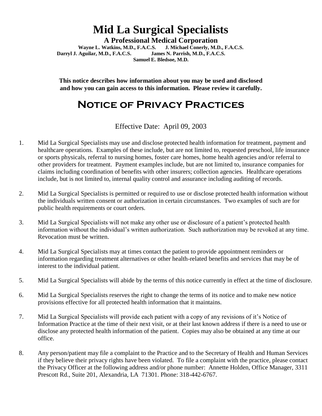# **Mid La Surgical Specialists**

**A Professional Medical Corporation Wayne L. Watkins, M.D., F.A.C.S. J. Michael Conerly, M.D., F.A.C.S. Darryl J. Aguilar, M.D., F.A.C.S. James N. Parrish, M.D., F.A.C.S. Samuel E. Bledsoe, M.D.**

**This notice describes how information about you may be used and disclosed and how you can gain access to this information. Please review it carefully.**

# **Notice of Privacy Practices**

Effective Date: April 09, 2003

- 1. Mid La Surgical Specialists may use and disclose protected health information for treatment, payment and healthcare operations. Examples of these include, but are not limited to, requested preschool, life insurance or sports physicals, referral to nursing homes, foster care homes, home health agencies and/or referral to other providers for treatment. Payment examples include, but are not limited to, insurance companies for claims including coordination of benefits with other insurers; collection agencies. Healthcare operations include, but is not limited to, internal quality control and assurance including auditing of records.
- 2. Mid La Surgical Specialists is permitted or required to use or disclose protected health information without the individuals written consent or authorization in certain circumstances. Two examples of such are for public health requirements or court orders.
- 3. Mid La Surgical Specialists will not make any other use or disclosure of a patient's protected health information without the individual's written authorization. Such authorization may be revoked at any time. Revocation must be written.
- 4. Mid La Surgical Specialists may at times contact the patient to provide appointment reminders or information regarding treatment alternatives or other health-related benefits and services that may be of interest to the individual patient.
- 5. Mid La Surgical Specialists will abide by the terms of this notice currently in effect at the time of disclosure.
- 6. Mid La Surgical Specialists reserves the right to change the terms of its notice and to make new notice provisions effective for all protected health information that it maintains.
- 7. Mid La Surgical Specialists will provide each patient with a copy of any revisions of it's Notice of Information Practice at the time of their next visit, or at their last known address if there is a need to use or disclose any protected health information of the patient. Copies may also be obtained at any time at our office.
- 8. Any person/patient may file a complaint to the Practice and to the Secretary of Health and Human Services if they believe their privacy rights have been violated. To file a complaint with the practice, please contact the Privacy Officer at the following address and/or phone number: Annette Holden, Office Manager, 3311 Prescott Rd., Suite 201, Alexandria, LA 71301. Phone: 318-442-6767.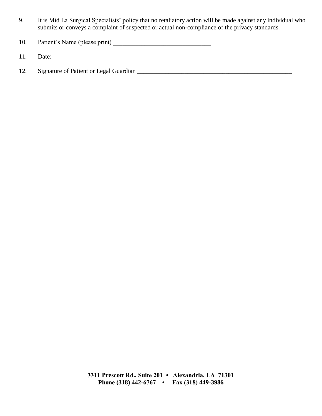- 9. It is Mid La Surgical Specialists' policy that no retaliatory action will be made against any individual who submits or conveys a complaint of suspected or actual non-compliance of the privacy standards.
- 10. Patient's Name (please print) \_\_\_\_\_\_\_\_\_\_\_\_\_\_\_\_\_\_\_\_\_\_\_\_\_\_\_\_\_\_\_
- 11. Date:\_\_\_\_\_\_\_\_\_\_\_\_\_\_\_\_\_\_\_\_\_\_\_\_\_\_
- 12. Signature of Patient or Legal Guardian \_\_\_\_\_\_\_\_\_\_\_\_\_\_\_\_\_\_\_\_\_\_\_\_\_\_\_\_\_\_\_\_\_\_\_\_\_\_\_\_\_\_\_\_\_\_\_\_\_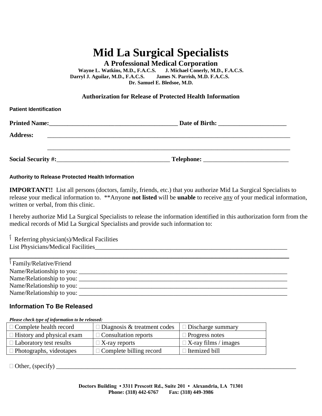# **Mid La Surgical Specialists**

**A Professional Medical Corporation**

**Wayne L. Watkins, M.D., F.A.C.S. J. Michael Conerly, M.D., F.A.C.S. Darryl J. Aguilar, M.D., F.A.C.S. James N. Parrish, M.D. F.A.C.S. Dr. Samuel E. Bledsoe, M.D.**

### **Authorization for Release of Protected Health Information**

| <b>Patient Identification</b>                                                                                                                |            |  |
|----------------------------------------------------------------------------------------------------------------------------------------------|------------|--|
| <b>Printed Name:</b><br><u> 1980 - Jan Samuel Barbara, martin da basar da basar da basar da basar da basar da basar da basar da basar da</u> |            |  |
| <b>Address:</b>                                                                                                                              |            |  |
| Social Security #:_                                                                                                                          | Telephone: |  |

### **Authority to Release Protected Health Information**

**Patient Identification**

**IMPORTANT!!** List all persons (doctors, family, friends, etc.) that you authorize Mid La Surgical Specialists to release your medical information to. \*\*Anyone **not listed** will be **unable** to receive any of your medical information, written or verbal, from this clinic.

I hereby authorize Mid La Surgical Specialists to release the information identified in this authorization form from the medical records of Mid La Surgical Specialists and provide such information to:

ٱ Referring physician(s)/Medical Facilities List Physicians/Medical Facilities

| Family/Relative/Friend            |  |
|-----------------------------------|--|
| Name/Relationship to you: _______ |  |
|                                   |  |
| Name/Relationship to you:         |  |
| Name/Relationship to you:         |  |

## **Information To Be Released**

| Please check type of information to be released: |                                    |                             |  |  |  |  |
|--------------------------------------------------|------------------------------------|-----------------------------|--|--|--|--|
| $\Box$ Complete health record                    | $\Box$ Diagnosis & treatment codes | $\Box$ Discharge summary    |  |  |  |  |
| $\Box$ History and physical exam                 | $\Box$ Consultation reports        | $\Box$ Progress notes       |  |  |  |  |
| $\Box$ Laboratory test results                   | $\Box$ X-ray reports               | $\Box$ X-ray films / images |  |  |  |  |
| $\Box$ Photographs, videotapes                   | $\Box$ Complete billing record     | $\Box$ Itemized bill        |  |  |  |  |

Other, (specify) \_\_\_\_\_\_\_\_\_\_\_\_\_\_\_\_\_\_\_\_\_\_\_\_\_\_\_\_\_\_\_\_\_\_\_\_\_\_\_\_\_\_\_\_\_\_\_\_\_\_\_\_\_\_\_\_\_\_\_\_\_\_\_\_\_\_\_\_\_\_\_\_\_\_\_\_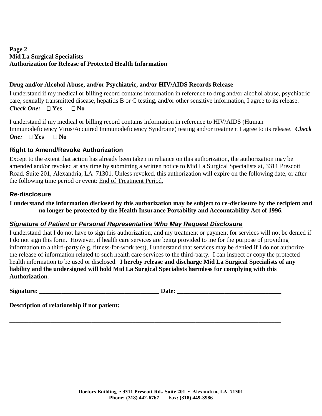# **Page 2 Mid La Surgical Specialists Authorization for Release of Protected Health Information**

## **Drug and/or Alcohol Abuse, and/or Psychiatric, and/or HIV/AIDS Records Release**

I understand if my medical or billing record contains information in reference to drug and/or alcohol abuse, psychiatric care, sexually transmitted disease, hepatitis B or C testing, and/or other sensitive information, I agree to its release. *Check One:*  $\Box$  Yes  $\Box$  No

I understand if my medical or billing record contains information in reference to HIV/AIDS (Human Immunodeficiency Virus/Acquired Immunodeficiency Syndrome) testing and/or treatment I agree to its release. *Check One:*  $\Box$  **Yes**  $\Box$  **No** 

## **Right to Amend/Revoke Authorization**

Except to the extent that action has already been taken in reliance on this authorization, the authorization may be amended and/or revoked at any time by submitting a written notice to Mid La Surgical Specialists at, 3311 Prescott Road, Suite 201, Alexandria, LA 71301. Unless revoked, this authorization will expire on the following date, or after the following time period or event: End of Treatment Period.

### **Re-disclosure**

### **I understand the information disclosed by this authorization may be subject to re-disclosure by the recipient and no longer be protected by the Health Insurance Portability and Accountability Act of 1996.**

### *Signature of Patient or Personal Representative Who May Request Disclosure*

I understand that I do not have to sign this authorization, and my treatment or payment for services will not be denied if I do not sign this form. However, if health care services are being provided to me for the purpose of providing information to a third-party (e.g. fitness-for-work test), I understand that services may be denied if I do not authorize the release of information related to such health care services to the third-party. I can inspect or copy the protected health information to be used or disclosed. **I hereby release and discharge Mid La Surgical Specialists of any liability and the undersigned will hold Mid La Surgical Specialists harmless for complying with this Authorization.** 

\_\_\_\_\_\_\_\_\_\_\_\_\_\_\_\_\_\_\_\_\_\_\_\_\_\_\_\_\_\_\_\_\_\_\_\_\_\_\_\_\_\_\_\_\_\_\_\_\_\_\_\_\_\_\_\_\_\_\_\_\_\_\_\_\_\_\_\_\_\_\_\_\_\_\_\_\_\_\_\_\_\_\_\_\_\_

**Signature: \_\_\_\_\_\_\_\_\_\_\_\_\_\_\_\_\_\_\_\_\_\_\_\_\_\_\_\_\_\_\_\_\_\_\_\_\_\_ Date: \_\_\_\_\_\_\_\_\_\_\_\_\_\_\_\_\_\_\_\_\_\_\_\_\_\_\_\_\_\_\_\_\_**

**Description of relationship if not patient:**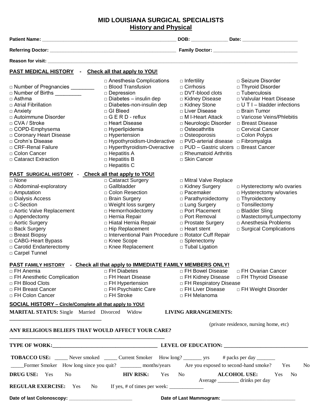# **MID LOUISIANA SURGICAL SPECIALISTS History and Physical**

| <b>PAST MEDICAL HISTORY - Check all that apply to YOU!</b>                                                                                                                                                                                                                                                                             |                                                                                                                                                                                                                                                                                                                                                                                         |                                                                                                                                                                                                                                                                                                                                                                        |                                                                                                                                                                                                                        |
|----------------------------------------------------------------------------------------------------------------------------------------------------------------------------------------------------------------------------------------------------------------------------------------------------------------------------------------|-----------------------------------------------------------------------------------------------------------------------------------------------------------------------------------------------------------------------------------------------------------------------------------------------------------------------------------------------------------------------------------------|------------------------------------------------------------------------------------------------------------------------------------------------------------------------------------------------------------------------------------------------------------------------------------------------------------------------------------------------------------------------|------------------------------------------------------------------------------------------------------------------------------------------------------------------------------------------------------------------------|
| □ Number of Pregnancies _________<br>□ Number of Births _________<br>$\Box$ Asthma<br>□ Atrial Fibrillation<br>$\Box$ Anxiety<br>□ Autoimmune Disorder<br>□ CVA / Stroke<br>□ COPD-Emphysema<br>□ Coronary Heart Disease<br>□ Crohn's Disease<br>□ CRF-Renal Failure<br>□ Colon Cancer<br>□ Cataract Extraction                        | □ Anesthesia Complications<br>□ Blood Transfusion<br>$\square$ Depression<br>$\square$ Diabetes – insulin dep<br>□ Diabetes-non-insulin dep<br>□ GI Bleed<br>$\Box$ G E R D - reflux<br>□ Heart Disease<br>$\Box$ Hyperlipidemia<br>□ Hypertension<br>□ Hypothyroidism-Underactive<br>□ Hyperthyroidism-Overactive<br>$\Box$ Hepatitis A<br>$\Box$ Hepatitis B<br>$\square$ Hepatitis C | $\Box$ Infertility<br>$\Box$ Cirrhosis<br>□ DVT-blood clots<br>□ Kidney Disease<br>□ Kidney Stone<br>□ Liver Disease<br>$\Box$ M I-Heart Attack<br>□ Neurologic Disorder □ Breast Disease<br>□ Osteoathritis<br>$\Box$ Osteoporosis<br>□ PVD-arterial disease □ Fibromyalgia<br>□ PUD - Gastric ulcers □ Breast Cancer<br>$\Box$ Rheumatoid Arthritis<br>□ Skin Cancer | □ Seizure Disorder<br>□ Thyroid Disorder<br>$\Box$ Tuberculosis<br>□ Valvular Heart Disease<br>$\Box$ U T I – bladder infections<br>□ Brain Tumor<br>□ Varicose Veins/Phlebitis<br>□ Cervical Cancer<br>□ Colon Polyps |
| PAST SURGICAL HISTORY - Check all that apply to YOU!<br>$\Box$ None<br>□ Abdominal-exploratory<br>$\Box$ Amputation<br>□ Dialysis Access<br>□ C-Section<br>□ Aortic Valve Replacement<br>□ Appendectomy<br>□ Aortic Surgery<br>□ Back Surgery<br>□ Breast Biopsy<br>□ CABG-Heart Bypass<br>□ Carotid Endarterectomy<br>□ Carpel Tunnel | □ Cataract Surgery<br>□ Gallbladder<br>□ Colon Resection<br>□ Brain Surgery<br>□ Weight loss surgery<br>□ Hemorrhoidectomy<br>□ Hernia Repair<br>□ Hiatal Hernia Repair<br>□ Hip Replacement<br>□ Interventional Pain Procedure □ Rotator Cuff Repair<br>□ Knee Scope<br>□ Knee Replacement                                                                                             | □ Mitral Valve Replace<br>□ Kidney Surgery<br>□ Pacemaker<br>$\Box$ Parathyroidectomy<br>□ Lung Surgery<br>□ Port Placement<br>□ Port Removal<br>□ Prostate Surgery<br>$\Box$ Heart stent<br>□ Splenectomy<br>□ Tubal Ligation                                                                                                                                         | $\Box$ Hysterectomy w/o ovaries<br>□ Hysterectomy w/ovaries<br>$\Box$ Thyroidectomy<br>□ Tonsillectomy<br>□ Bladder Sling<br>□ Mastectomy/Lumpectomy<br>□ Anesthesia Problems<br>$\Box$ Surgical Complications         |
| □ FH Anemia<br><b>D FH Anesthetic Complication</b><br>□ FH Blood Clots<br>□ FH Breast Cancer<br>□ FH Colon Cancer                                                                                                                                                                                                                      | <b>PAST FAMILY HISTORY - Check all that apply to IMMEDIATE FAMILY MEMBERS ONLY!</b><br>□ FH Diabetes<br>□ FH Heart Disease<br>□ FH Hypertension<br>□ FH Psychiatric Care<br>□ FH Stroke                                                                                                                                                                                                 | □ FH Bowel Disease<br>□ FH Kidney Disease<br>□ FH Respiratory Disease<br>□ FH Liver Disease<br>□ FH Melanoma                                                                                                                                                                                                                                                           | □ FH Ovarian Cancer<br>□ FH Thyroid Disease<br>□ FH Weight Disorder                                                                                                                                                    |
| SOCIAL HISTORY - Circle/Complete all that apply to YOU!<br><b>MARITAL STATUS:</b> Single Married Divorced Widow                                                                                                                                                                                                                        |                                                                                                                                                                                                                                                                                                                                                                                         | <b>LIVING ARRANGEMENTS:</b>                                                                                                                                                                                                                                                                                                                                            |                                                                                                                                                                                                                        |
| ANY RELIGIOUS BELIEFS THAT WOULD AFFECT YOUR CARE?                                                                                                                                                                                                                                                                                     |                                                                                                                                                                                                                                                                                                                                                                                         |                                                                                                                                                                                                                                                                                                                                                                        | (private residence, nursing home, etc)                                                                                                                                                                                 |
|                                                                                                                                                                                                                                                                                                                                        |                                                                                                                                                                                                                                                                                                                                                                                         |                                                                                                                                                                                                                                                                                                                                                                        |                                                                                                                                                                                                                        |
| <b>DRUG USE:</b> Yes<br>No                                                                                                                                                                                                                                                                                                             | <b>TOBACCO USE:</b> Never smoked <u>Current Smoker How long? With Smoker How long</u><br>Former Smoker How long since you quit? _________ months/years Are you exposed to second-hand smoke?<br><b>HIV RISK:</b><br>Yes                                                                                                                                                                 | No.<br>Average ___________ drinks per day                                                                                                                                                                                                                                                                                                                              | Yes<br>No<br><b>ALCOHOL USE:</b><br>$\mathbf{N}$ o<br>Yes                                                                                                                                                              |
| <b>REGULAR EXERCISE:</b> Yes                                                                                                                                                                                                                                                                                                           | No                                                                                                                                                                                                                                                                                                                                                                                      |                                                                                                                                                                                                                                                                                                                                                                        |                                                                                                                                                                                                                        |

**Date of last Colonoscopy: \_\_\_\_\_\_\_\_\_\_\_\_\_\_\_\_\_\_\_\_\_\_\_\_ Date of Last Mammogram: \_\_\_\_\_\_\_\_\_\_\_\_\_\_\_\_\_\_\_\_\_\_\_\_\_\_\_\_**